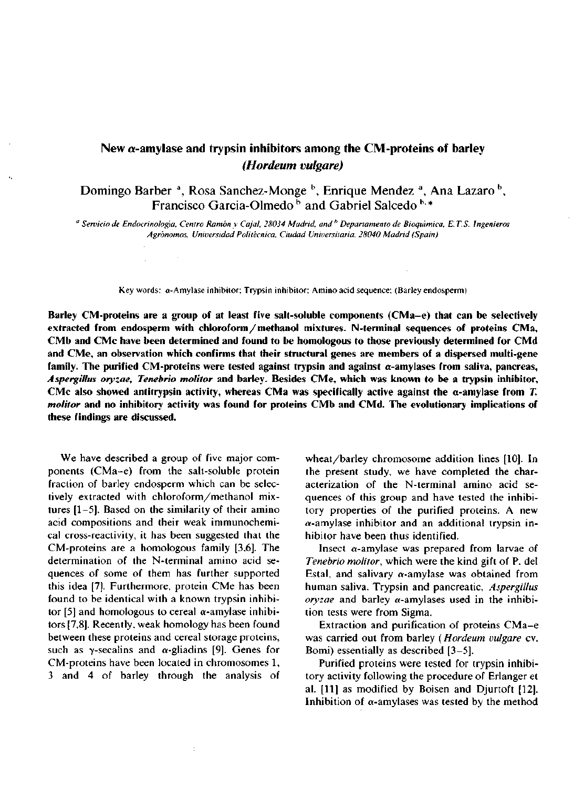# **New a-amylase and trypsin inhibitors among the CM-proteins of barley**  *(Hordeum vulgare)*

Domingo Barber <sup>a</sup>, Rosa Sanchez-Monge <sup>b</sup>, Enrique Mendez <sup>a</sup>, Ana Lazaro <sup>b</sup>, Francisco Garcia-Olmedo<sup>b</sup> and Gabriel Salcedo<sup>b,\*</sup>

" *Servicio de Endocrinología, Centro Ramón y Cajal, 28034 Madrid, and<sup>h</sup> Departamento de Bioquímica, E. T. S. Ingenieros Agrónomos, Universidad Politécnica, Ciudad Universitaria, 28040 Madrid (Spain)* 

Key words: a-Amylase inhibitor; Trypsin inhibitor; Amino acid sequence; (Barley endosperm)

**Barley CM-proteins are a group of at least five salt-soluble components (CMa-e) that can be selectively extracted from endosperm with chloroform/methanol mixtures. N-terminal sequences of proteins CMa, CMb and CMe have been determined and found to be homologous to those previously determined for CMd and CMe, an observation which confirms that their structural genes are members of a dispersed multi-gene family. The purified CM-proteins were tested against trypsin and against a-amylases from saliva, páncreas,**  *Aspergillus oryzae, Tenebrio molitor* **and barley. Besides CMe, which was known to be a trypsin inhibitor,**  CMe also showed antitrypsin activity, whereas CMa was specifically active against the  $\alpha$ -amylase from *T*. *molitor* **and no inhibitory activity was found for proteins CMb and CMd. The evolutionary implications of these findings are discussed.** 

We have described a group of five major components (CMa-e) from the salt-soluble protein fraction of barley endosperm which can be selectively extracted with chloroform/methanol mixtures  $[1-5]$ . Based on the similarity of their amino acid compositions and their weak immunochemical cross-reactivity, it has been suggested that the CM-proteins are a homologous family [3,6]. The determination of the N-terminal amino acid sequences of some of them has further supported this idea [7]. Furthermore, protein CMe has been found to be identical with a known trypsin inhibitor [5] and homologous to cereal  $\alpha$ -amylase inhibitors [7,8]. Recently, weak homology has been found between these proteins and cereal storage proteins, such as  $\gamma$ -secalins and  $\alpha$ -gliadins [9]. Genes for CM-proteins have been located in chromosomes 1, 3 and 4 of barley through the analysis of

wheat/barley chromosome addition lines [10]. In the present study, we have completed the characterization of the N-terminal amino acid sequences of this group and have tested the inhibitory properties of the purified proteins. A new  $\alpha$ -amylase inhibitor and an additional trypsin inhibitor have been thus identified.

Insect  $\alpha$ -amylase was prepared from larvae of *Tenebrio molitor,* which were the kind gift of P. del Estal, and salivary  $\alpha$ -amylase was obtained from human saliva. Trypsin and pancreatic, *Aspergillus oryzae* and barley a-amylases used in the inhibition tests were from Sigma.

Extraction and purification of proteins CMa-e was carried out from barley (*Hordeum vulgare* cv. Bomi) essentially as described [3-5].

Purified proteins were tested for trypsin inhibitory activity following the procedure of Erlanger et al. [11] as modified by Boisen and Djurtoft [12]. Inhibition of  $\alpha$ -amylases was tested by the method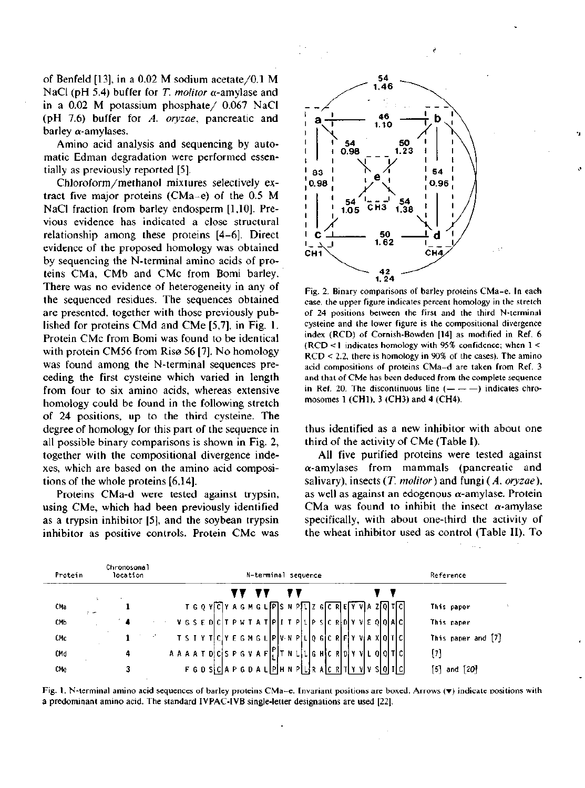of Benfeld [13], in a 0.02 M sodium acetate/0.1 M NaCl (pH 5.4) buffer for *T. molitor*  $\alpha$ -amylase and in a 0.02 M potassium phosphate/ 0.067 NaCl (pH 7.6) buffer for *A. oryzae,* pancreatic and barley a-amylases.

Amino acid analysis and sequencing by automatic Edman degradation were performed essentially as previously reported [5].

Chloroform/methanol mixtures selectively extract five major proteins (CMa-e) of the 0.5 M NaCl fraction from barley endosperm [1,10]. Previous evidence has indicated a close structural relationship among these proteins [4-6]. Direct evidence of the proposed homology was obtained by sequencing the N-terminal amino acids of proteins CMa, CMb and CMc from Bomi barley. There was no evidence of heterogeneity in any of the sequenced residues. The sequences obtained are presented, together with those previously published for proteins CMd and CMe [5,7], in Fig. 1. Protein CMc from Bomi was found to be identical with protein CM56 from Risø 56 [7]. No homology was found among the N-terminal sequences preceding the first cysteine which varied in length from four to six amino acids, whereas extensive homology could be found in the following stretch of 24 positions, up to the third cysteine. The degree of homology for this part of the sequence in all possible binary comparisons is shown in Fig. 2, together with the compositional divergence indexes, which are based on the amino acid compositions of the whole proteins [6,14].

Proteins CMa-d were tested against trypsin, using CMe, which had been previously identified as a trypsin inhibitor [5], and the soybean trypsin inhibitor as positive controls. Protein CMc was



Fig. 2. Binary comparisons of barley proteins CMa-e. In each case, the upper figure indicates percent homology in the stretch of 24 positions between the first and the third N-terminal cysteine and the lower figure is the compositional divergence index (RCD) of Cornish-Bowden [14] as modified in Ref. 6 (RCD < 1 indicates homology with 95% confidence; when 1 < RCD < 2.2, there is homology in 90% of the cases). The amino acid compositions of proteins CMa-d are taken from Ref. 3 and that of CMe has been deduced from the complete sequence in Ref. 20. The discontinuous line  $(- - -)$  indicates chromosomes 1 (CH1), 3 (CH3) and 4 (CH4).

thus identified as a new inhibitor with about one third of the activity of CMe (Table I).

All five purified proteins were tested against a-amylases from mammals (pancreatic and salivary), insects *(T. molitor)* and fungi *(A. oryzae),*  as well as against an edogenous  $\alpha$ -amylase. Protein CMa was found to inhibit the insect  $\alpha$ -amylase specifically, with about one-third the activity of the wheat inhibitor used as control (Table II). To

| Protein    | Chromosomal<br>location | N-terminal sequence                                                                                                                 | Reference                        |
|------------|-------------------------|-------------------------------------------------------------------------------------------------------------------------------------|----------------------------------|
|            | A.                      |                                                                                                                                     |                                  |
| CMa<br>س و |                         | $T G Q Y G Y A G M G L P S N P L Z G C R E Y V A Z Q T C$                                                                           | This paper                       |
| СМЬ        |                         | VGSEDCTPWTATPLITPLLPSCRDYVEQQAC                                                                                                     | This paper                       |
| CMc        |                         | $T S I Y T C Y E G M G L P V N P L Q G C R F Y V A X Q T C$                                                                         | This paper and [7]               |
| CMd        | 4                       | $A$ $A$ $A$ $A$ $T$ $D$ $C$ $S$ $P$ $G$ $V$ $A$ $F$ $P$ $T$ $N$ $L$ $L$ $L$ $G$ $H$ $C$ $R$ $D$ $T$ $V$ $V$ $L$ $Q$ $Q$ $T$ $C$ $I$ | $^{\left[7\right]}$              |
| CMe        |                         | $F$ G D S $C$ A P G D A L P $H$ N P $L$ R A $C$ R $T$ Y V $V$ S $Q$ $I$ $C$                                                         | I51.<br>$\sim$ 120 $\sim$<br>and |

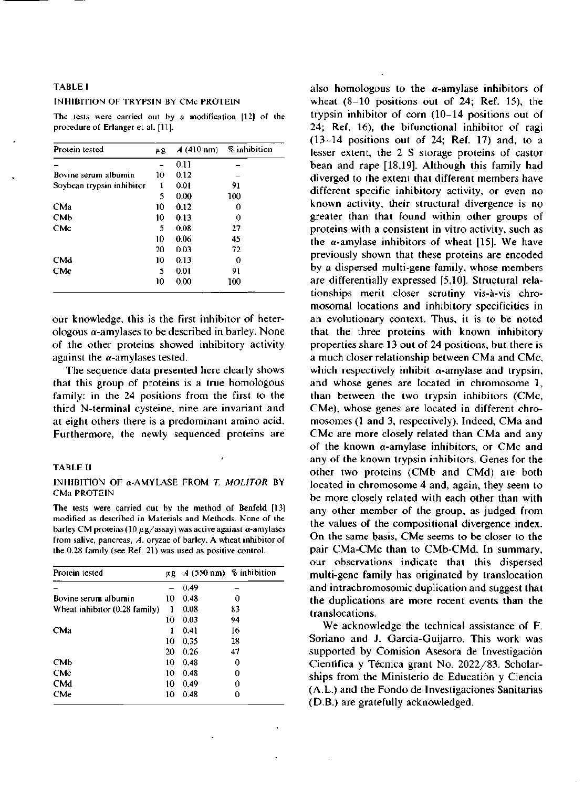#### TABLEI

## INHIBITION OF TRYPSIN BY CMc PROTEIN

The tests were carried out by a modification [12] of the procedure of Erlanger et al. [11].

| Protein tested            | μg | $A(410 \text{ nm})$ | % inhibition |
|---------------------------|----|---------------------|--------------|
|                           |    | 0.11                |              |
| Bovine serum albumin      | 10 | 0.12                |              |
| Soybean trypsin inhibitor | ı  | 0.01                | 91           |
|                           | 5  | 0.00                | 100          |
| CMa                       | 10 | 0.12                | 0            |
| СМЬ                       | 10 | 0.13                | 0            |
| <b>CMc</b>                | 5  | 0.08                | 27           |
|                           | 10 | 0.06                | 45           |
|                           | 20 | 0.03                | 72           |
| CMd                       | 10 | 0.13                | 0            |
| <b>CMe</b>                | 5  | 0.01                | 91           |
|                           | 10 | 0.00                | 100          |

our knowledge, this is the first inhibitor of heterologous  $\alpha$ -amylases to be described in barley. None of the other proteins showed inhibitory activity against the  $\alpha$ -amylases tested.

The sequence data presented here clearly shows that this group of proteins is a true homologous family: in the 24 positions from the first to the third N-terminal cysteine, nine are invariant and at eight others there is a predominant amino acid. Furthermore, the newly sequenced proteins are

#### TABLE II

### INHIBITION OF a-AMYLASE FROM *T. MOLITOR* BY CMa PROTEIN

The tests were carried out by the method of Benfeld [13] modified as described in Materials and Methods. None of the barley CM proteins (10  $\mu$ g/assay) was active against  $\alpha$ -amylases from salive, páncreas, *A.* oryzae of barley. A wheat inhibitor of the 0.28 family (see Ref. 21) was used as positive control.

| Protein tested                |    |      | $A$ (550 nm) % inhibition |
|-------------------------------|----|------|---------------------------|
|                               |    | 0.49 |                           |
| Bovine serum albumin          | 10 | 0.48 | 0                         |
| Wheat inhibitor (0.28 family) |    | 0.08 | 83                        |
|                               | 10 | 0.03 | 94                        |
| CMa                           | 1  | 0.41 | 16                        |
|                               | 10 | 0.35 | 28                        |
|                               | 20 | 0.26 | 47                        |
| <b>CM<sub>b</sub></b>         | 10 | 0.48 | 0                         |
| <b>CMc</b>                    | 10 | 0.48 | 0                         |
| <b>CMd</b>                    | 10 | 0.49 | 0                         |
| CMe                           | 10 | 0.48 | 0                         |

also homologous to the  $\alpha$ -amylase inhibitors of wheat  $(8-10)$  positions out of 24; Ref. 15), the trypsin inhibitor of corn (10-14 positions out of 24; Ref. 16), the bifunctional inhibitor of ragi (13-14 positions out of 24; Ref. 17) and, to a lesser extent, the 2 S storage proteins of castor bean and rape [18,19]. Although this family had diverged to the extent that different members have different specific inhibitory activity, or even no known activity, their structural divergence is no greater than that found within other groups of proteins with a consistent in vitro activity, such as the  $\alpha$ -amylase inhibitors of wheat [15]. We have previously shown that these proteins are encoded by a dispersed multi-gene family, whose members are differentially expressed [5,10]. Structural relationships merit closer scrutiny vis-á-vis chromosomal locations and inhibitory specificities in an evolutionary context. Thus, it is to be noted that the three proteins with known inhibitory properties share 13 out of 24 positions, but there is a much closer relationship between CMa and CMc, which respectively inhibit  $\alpha$ -amylase and trypsin, and whose genes are located in chromosome 1, than between the two trypsin inhibitors (CMc, CMe), whose genes are located in different chromosomes (1 and 3, respectively). Indeed, CMa and CMc are more closely related than CMa and any of the known a-amylase inhibitors, or CMc and any of the known trypsin inhibitors. Genes for the other two proteins (CMb and CMd) are both located in chromosome 4 and, again, they seem to be more closely related with each other than with any other member of the group, as judged from the values of the compositional divergence index. On the same basis, CMe seems to be closer to the pair CMa-CMc than to CMb-CMd. In summary, our observations indícate that this dispersed multi-gene family has originated by translocation and intrachromosomic duplication and suggest that the duplications are more recent events than the translocations.

We acknowledge the technical assistance of F. Soriano and J. Garcia-Guijarro. This work was supported by Comision Asesora de Investigación Científica y Técnica grant No. 2022/83. Scholarships from the Ministerio de Educatión y Ciencia (A.L.) and the Fondo de Investigaciones Sanitarias (D.B.) are gratefully acknowledged.